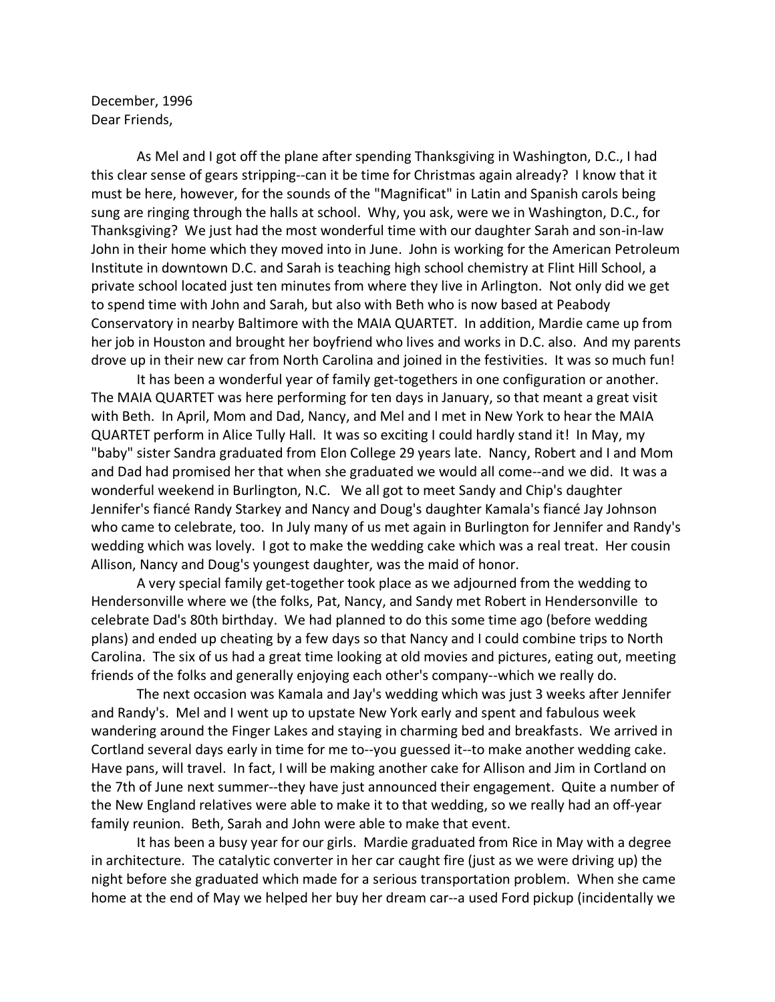December, 1996 Dear Friends,

As Mel and I got off the plane after spending Thanksgiving in Washington, D.C., I had this clear sense of gears stripping--can it be time for Christmas again already? I know that it must be here, however, for the sounds of the "Magnificat" in Latin and Spanish carols being sung are ringing through the halls at school. Why, you ask, were we in Washington, D.C., for Thanksgiving? We just had the most wonderful time with our daughter Sarah and son-in-law John in their home which they moved into in June. John is working for the American Petroleum Institute in downtown D.C. and Sarah is teaching high school chemistry at Flint Hill School, a private school located just ten minutes from where they live in Arlington. Not only did we get to spend time with John and Sarah, but also with Beth who is now based at Peabody Conservatory in nearby Baltimore with the MAIA QUARTET. In addition, Mardie came up from her job in Houston and brought her boyfriend who lives and works in D.C. also. And my parents drove up in their new car from North Carolina and joined in the festivities. It was so much fun!

It has been a wonderful year of family get-togethers in one configuration or another. The MAIA QUARTET was here performing for ten days in January, so that meant a great visit with Beth. In April, Mom and Dad, Nancy, and Mel and I met in New York to hear the MAIA QUARTET perform in Alice Tully Hall. It was so exciting I could hardly stand it! In May, my "baby" sister Sandra graduated from Elon College 29 years late. Nancy, Robert and I and Mom and Dad had promised her that when she graduated we would all come--and we did. It was a wonderful weekend in Burlington, N.C. We all got to meet Sandy and Chip's daughter Jennifer's fiancé Randy Starkey and Nancy and Doug's daughter Kamala's fiancé Jay Johnson who came to celebrate, too. In July many of us met again in Burlington for Jennifer and Randy's wedding which was lovely. I got to make the wedding cake which was a real treat. Her cousin Allison, Nancy and Doug's youngest daughter, was the maid of honor.

A very special family get-together took place as we adjourned from the wedding to Hendersonville where we (the folks, Pat, Nancy, and Sandy met Robert in Hendersonville to celebrate Dad's 80th birthday. We had planned to do this some time ago (before wedding plans) and ended up cheating by a few days so that Nancy and I could combine trips to North Carolina. The six of us had a great time looking at old movies and pictures, eating out, meeting friends of the folks and generally enjoying each other's company--which we really do.

The next occasion was Kamala and Jay's wedding which was just 3 weeks after Jennifer and Randy's. Mel and I went up to upstate New York early and spent and fabulous week wandering around the Finger Lakes and staying in charming bed and breakfasts. We arrived in Cortland several days early in time for me to--you guessed it--to make another wedding cake. Have pans, will travel. In fact, I will be making another cake for Allison and Jim in Cortland on the 7th of June next summer--they have just announced their engagement. Quite a number of the New England relatives were able to make it to that wedding, so we really had an off-year family reunion. Beth, Sarah and John were able to make that event.

It has been a busy year for our girls. Mardie graduated from Rice in May with a degree in architecture. The catalytic converter in her car caught fire (just as we were driving up) the night before she graduated which made for a serious transportation problem. When she came home at the end of May we helped her buy her dream car--a used Ford pickup (incidentally we